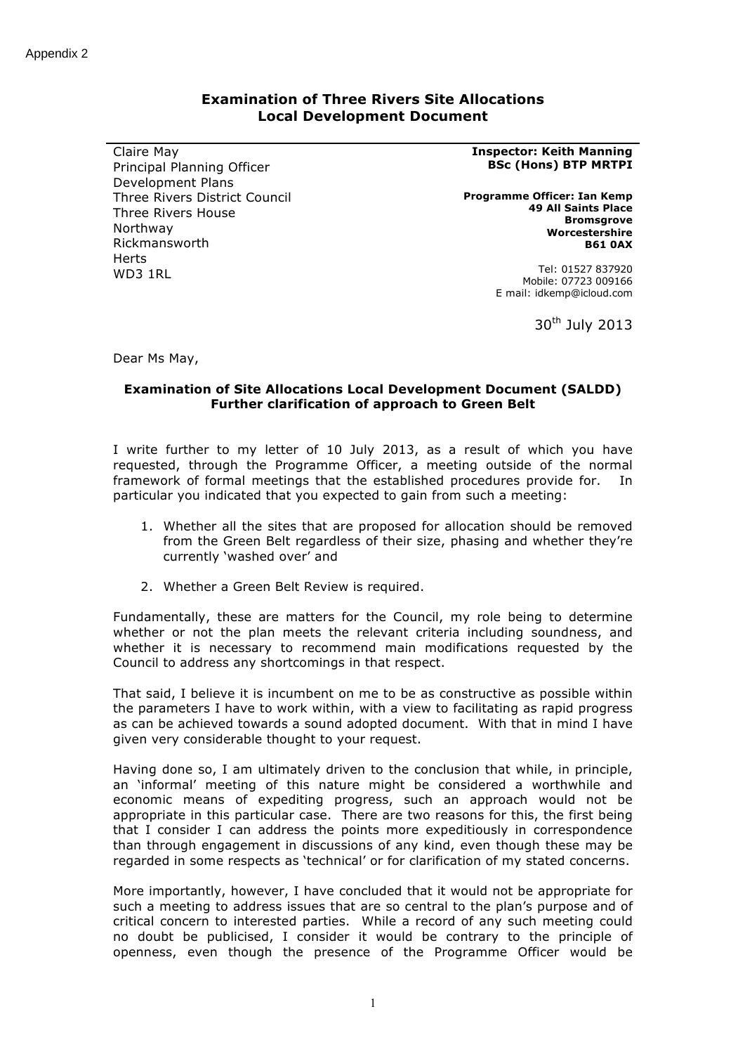# **Examination of Three Rivers Site Allocations Local Development Document**

Claire May Principal Planning Officer Development Plans Three Rivers District Council Three Rivers House Northway Rickmansworth Herts WD3 1RL

#### **Inspector: Keith Manning BSc (Hons) BTP MRTPI**

**Programme Officer: Ian Kemp 49 All Saints Place Bromsgrove Worcestershire B61 0AX**

> Tel: 01527 837920 Mobile: 07723 009166 E mail: idkemp@icloud.com

> > $30<sup>th</sup>$  July 2013

Dear Ms May,

## **Examination of Site Allocations Local Development Document (SALDD) Further clarification of approach to Green Belt**

I write further to my letter of 10 July 2013, as a result of which you have requested, through the Programme Officer, a meeting outside of the normal framework of formal meetings that the established procedures provide for. In particular you indicated that you expected to gain from such a meeting:

- 1. Whether all the sites that are proposed for allocation should be removed from the Green Belt regardless of their size, phasing and whether they're currently 'washed over' and
- 2. Whether a Green Belt Review is required.

Fundamentally, these are matters for the Council, my role being to determine whether or not the plan meets the relevant criteria including soundness, and whether it is necessary to recommend main modifications requested by the Council to address any shortcomings in that respect.

That said, I believe it is incumbent on me to be as constructive as possible within the parameters I have to work within, with a view to facilitating as rapid progress as can be achieved towards a sound adopted document. With that in mind I have given very considerable thought to your request.

Having done so, I am ultimately driven to the conclusion that while, in principle, an 'informal' meeting of this nature might be considered a worthwhile and economic means of expediting progress, such an approach would not be appropriate in this particular case. There are two reasons for this, the first being that I consider I can address the points more expeditiously in correspondence than through engagement in discussions of any kind, even though these may be regarded in some respects as 'technical' or for clarification of my stated concerns.

More importantly, however, I have concluded that it would not be appropriate for such a meeting to address issues that are so central to the plan's purpose and of critical concern to interested parties. While a record of any such meeting could no doubt be publicised, I consider it would be contrary to the principle of openness, even though the presence of the Programme Officer would be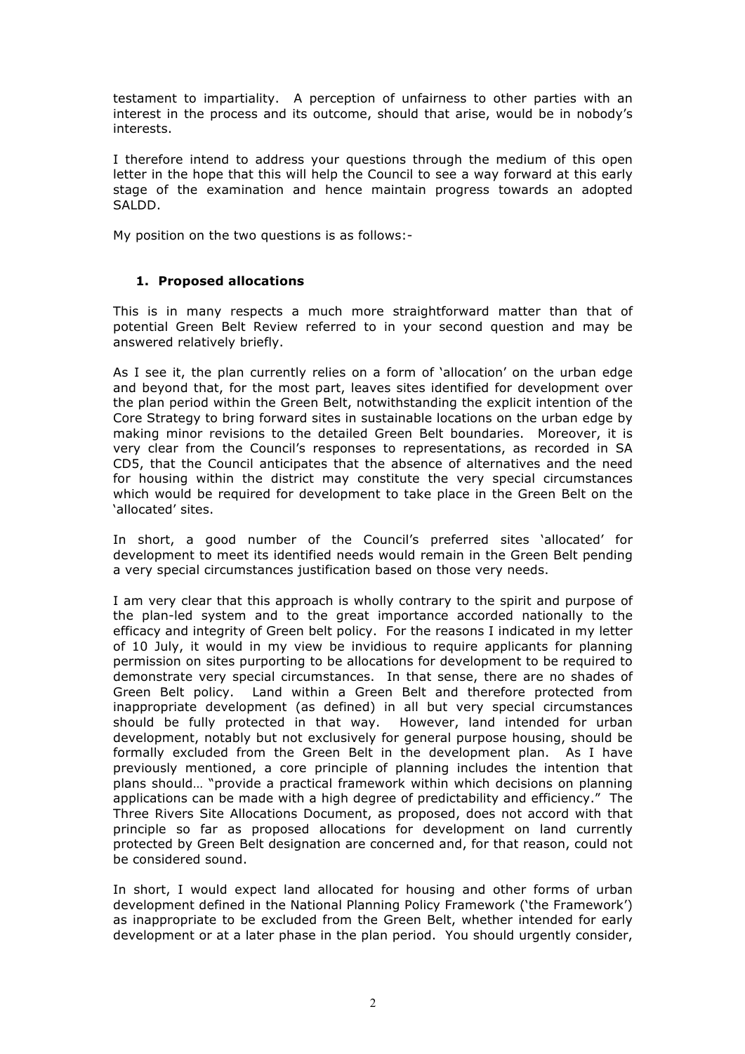testament to impartiality. A perception of unfairness to other parties with an interest in the process and its outcome, should that arise, would be in nobody's interests.

I therefore intend to address your questions through the medium of this open letter in the hope that this will help the Council to see a way forward at this early stage of the examination and hence maintain progress towards an adopted SALDD.

My position on the two questions is as follows:-

## **1. Proposed allocations**

This is in many respects a much more straightforward matter than that of potential Green Belt Review referred to in your second question and may be answered relatively briefly.

As I see it, the plan currently relies on a form of 'allocation' on the urban edge and beyond that, for the most part, leaves sites identified for development over the plan period within the Green Belt, notwithstanding the explicit intention of the Core Strategy to bring forward sites in sustainable locations on the urban edge by making minor revisions to the detailed Green Belt boundaries. Moreover, it is very clear from the Council's responses to representations, as recorded in SA CD5, that the Council anticipates that the absence of alternatives and the need for housing within the district may constitute the very special circumstances which would be required for development to take place in the Green Belt on the 'allocated' sites.

In short, a good number of the Council's preferred sites 'allocated' for development to meet its identified needs would remain in the Green Belt pending a very special circumstances justification based on those very needs.

I am very clear that this approach is wholly contrary to the spirit and purpose of the plan-led system and to the great importance accorded nationally to the efficacy and integrity of Green belt policy. For the reasons I indicated in my letter of 10 July, it would in my view be invidious to require applicants for planning permission on sites purporting to be allocations for development to be required to demonstrate very special circumstances. In that sense, there are no shades of Green Belt policy. Land within a Green Belt and therefore protected from inappropriate development (as defined) in all but very special circumstances should be fully protected in that way. However, land intended for urban development, notably but not exclusively for general purpose housing, should be formally excluded from the Green Belt in the development plan. As I have previously mentioned, a core principle of planning includes the intention that plans should… "provide a practical framework within which decisions on planning applications can be made with a high degree of predictability and efficiency." The Three Rivers Site Allocations Document, as proposed, does not accord with that principle so far as proposed allocations for development on land currently protected by Green Belt designation are concerned and, for that reason, could not be considered sound.

In short, I would expect land allocated for housing and other forms of urban development defined in the National Planning Policy Framework ('the Framework') as inappropriate to be excluded from the Green Belt, whether intended for early development or at a later phase in the plan period. You should urgently consider,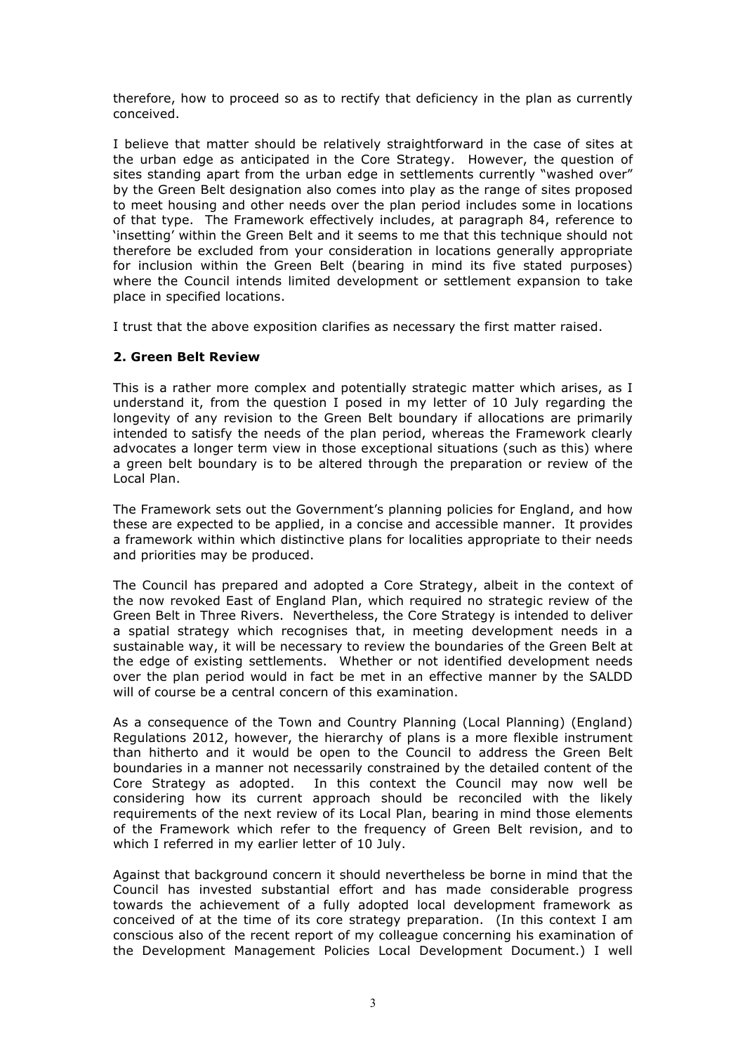therefore, how to proceed so as to rectify that deficiency in the plan as currently conceived.

I believe that matter should be relatively straightforward in the case of sites at the urban edge as anticipated in the Core Strategy. However, the question of sites standing apart from the urban edge in settlements currently "washed over" by the Green Belt designation also comes into play as the range of sites proposed to meet housing and other needs over the plan period includes some in locations of that type. The Framework effectively includes, at paragraph 84, reference to 'insetting' within the Green Belt and it seems to me that this technique should not therefore be excluded from your consideration in locations generally appropriate for inclusion within the Green Belt (bearing in mind its five stated purposes) where the Council intends limited development or settlement expansion to take place in specified locations.

I trust that the above exposition clarifies as necessary the first matter raised.

## **2. Green Belt Review**

This is a rather more complex and potentially strategic matter which arises, as I understand it, from the question I posed in my letter of 10 July regarding the longevity of any revision to the Green Belt boundary if allocations are primarily intended to satisfy the needs of the plan period, whereas the Framework clearly advocates a longer term view in those exceptional situations (such as this) where a green belt boundary is to be altered through the preparation or review of the Local Plan.

The Framework sets out the Government's planning policies for England, and how these are expected to be applied, in a concise and accessible manner. It provides a framework within which distinctive plans for localities appropriate to their needs and priorities may be produced.

The Council has prepared and adopted a Core Strategy, albeit in the context of the now revoked East of England Plan, which required no strategic review of the Green Belt in Three Rivers. Nevertheless, the Core Strategy is intended to deliver a spatial strategy which recognises that, in meeting development needs in a sustainable way, it will be necessary to review the boundaries of the Green Belt at the edge of existing settlements. Whether or not identified development needs over the plan period would in fact be met in an effective manner by the SALDD will of course be a central concern of this examination.

As a consequence of the Town and Country Planning (Local Planning) (England) Regulations 2012, however, the hierarchy of plans is a more flexible instrument than hitherto and it would be open to the Council to address the Green Belt boundaries in a manner not necessarily constrained by the detailed content of the Core Strategy as adopted. In this context the Council may now well be considering how its current approach should be reconciled with the likely requirements of the next review of its Local Plan, bearing in mind those elements of the Framework which refer to the frequency of Green Belt revision, and to which I referred in my earlier letter of 10 July.

Against that background concern it should nevertheless be borne in mind that the Council has invested substantial effort and has made considerable progress towards the achievement of a fully adopted local development framework as conceived of at the time of its core strategy preparation. (In this context I am conscious also of the recent report of my colleague concerning his examination of the Development Management Policies Local Development Document.) I well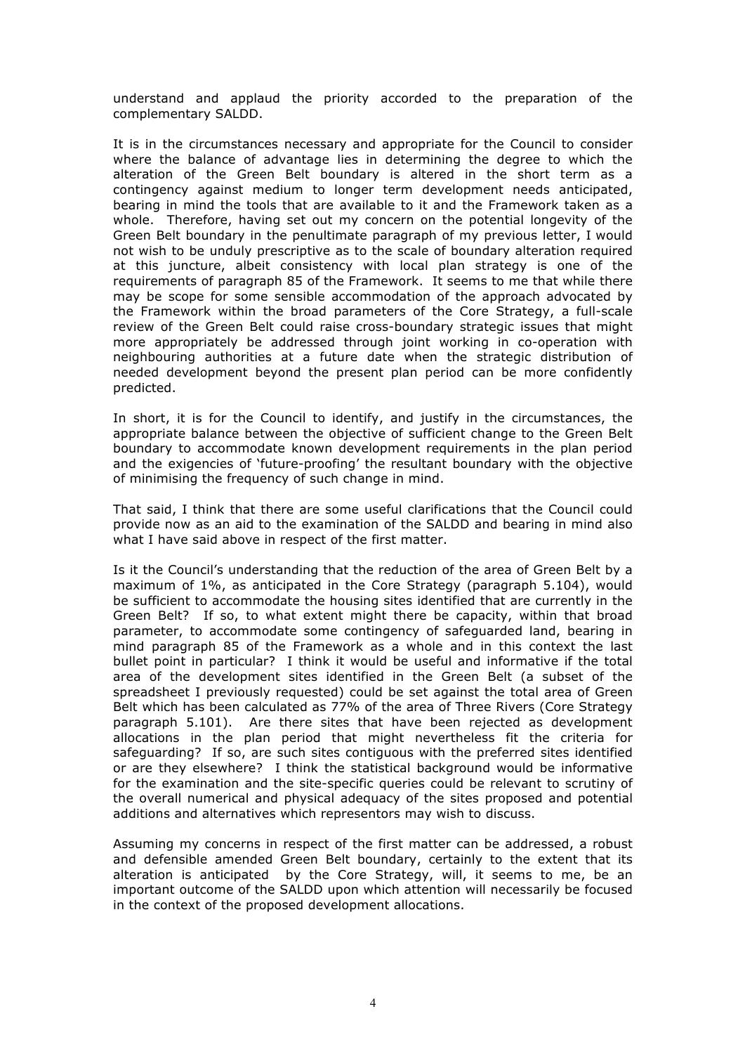understand and applaud the priority accorded to the preparation of the complementary SALDD.

It is in the circumstances necessary and appropriate for the Council to consider where the balance of advantage lies in determining the degree to which the alteration of the Green Belt boundary is altered in the short term as a contingency against medium to longer term development needs anticipated, bearing in mind the tools that are available to it and the Framework taken as a whole. Therefore, having set out my concern on the potential longevity of the Green Belt boundary in the penultimate paragraph of my previous letter, I would not wish to be unduly prescriptive as to the scale of boundary alteration required at this juncture, albeit consistency with local plan strategy is one of the requirements of paragraph 85 of the Framework. It seems to me that while there may be scope for some sensible accommodation of the approach advocated by the Framework within the broad parameters of the Core Strategy, a full-scale review of the Green Belt could raise cross-boundary strategic issues that might more appropriately be addressed through joint working in co-operation with neighbouring authorities at a future date when the strategic distribution of needed development beyond the present plan period can be more confidently predicted.

In short, it is for the Council to identify, and justify in the circumstances, the appropriate balance between the objective of sufficient change to the Green Belt boundary to accommodate known development requirements in the plan period and the exigencies of 'future-proofing' the resultant boundary with the objective of minimising the frequency of such change in mind.

That said, I think that there are some useful clarifications that the Council could provide now as an aid to the examination of the SALDD and bearing in mind also what I have said above in respect of the first matter.

Is it the Council's understanding that the reduction of the area of Green Belt by a maximum of 1%, as anticipated in the Core Strategy (paragraph 5.104), would be sufficient to accommodate the housing sites identified that are currently in the Green Belt? If so, to what extent might there be capacity, within that broad parameter, to accommodate some contingency of safeguarded land, bearing in mind paragraph 85 of the Framework as a whole and in this context the last bullet point in particular? I think it would be useful and informative if the total area of the development sites identified in the Green Belt (a subset of the spreadsheet I previously requested) could be set against the total area of Green Belt which has been calculated as 77% of the area of Three Rivers (Core Strategy paragraph 5.101). Are there sites that have been rejected as development allocations in the plan period that might nevertheless fit the criteria for safeguarding? If so, are such sites contiguous with the preferred sites identified or are they elsewhere? I think the statistical background would be informative for the examination and the site-specific queries could be relevant to scrutiny of the overall numerical and physical adequacy of the sites proposed and potential additions and alternatives which representors may wish to discuss.

Assuming my concerns in respect of the first matter can be addressed, a robust and defensible amended Green Belt boundary, certainly to the extent that its alteration is anticipated by the Core Strategy, will, it seems to me, be an important outcome of the SALDD upon which attention will necessarily be focused in the context of the proposed development allocations.